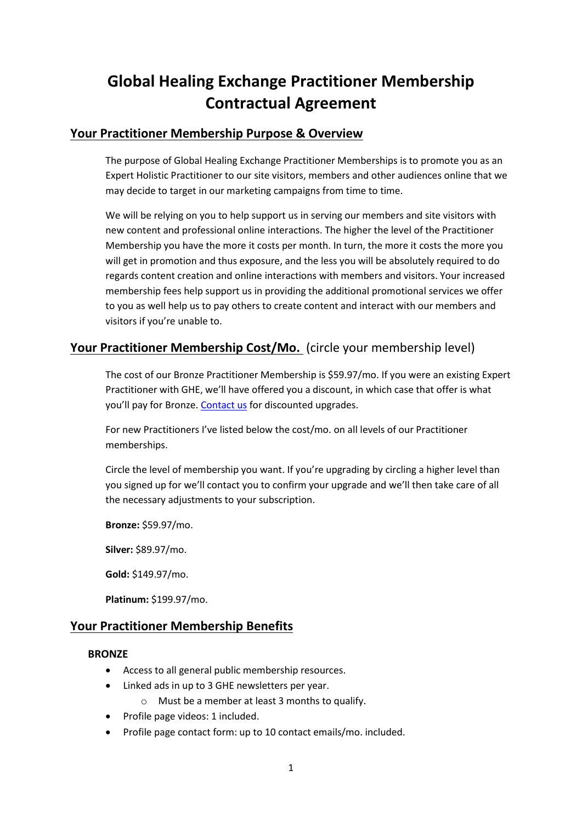# **Global Healing Exchange Practitioner Membership Contractual Agreement**

## **Your Practitioner Membership Purpose & Overview**

The purpose of Global Healing Exchange Practitioner Memberships is to promote you as an Expert Holistic Practitioner to our site visitors, members and other audiences online that we may decide to target in our marketing campaigns from time to time.

We will be relying on you to help support us in serving our members and site visitors with new content and professional online interactions. The higher the level of the Practitioner Membership you have the more it costs per month. In turn, the more it costs the more you will get in promotion and thus exposure, and the less you will be absolutely required to do regards content creation and online interactions with members and visitors. Your increased membership fees help support us in providing the additional promotional services we offer to you as well help us to pay others to create content and interact with our members and visitors if you're unable to.

# **Your Practitioner Membership Cost/Mo.** (circle your membership level)

The cost of our Bronze Practitioner Membership is \$59.97/mo. If you were an existing Expert Practitioner with GHE, we'll have offered you a discount, in which case that offer is what you'll pay for Bronze. [Contact us](https://www.globalhealingexchange.com/contact-us/) for discounted upgrades.

For new Practitioners I've listed below the cost/mo. on all levels of our Practitioner memberships.

Circle the level of membership you want. If you're upgrading by circling a higher level than you signed up for we'll contact you to confirm your upgrade and we'll then take care of all the necessary adjustments to your subscription.

**Bronze:** \$59.97/mo.

**Silver:** \$89.97/mo.

**Gold:** \$149.97/mo.

**Platinum:** \$199.97/mo.

## **Your Practitioner Membership Benefits**

#### **BRONZE**

- Access to all general public membership resources.
- Linked ads in up to 3 GHE newsletters per year.
	- o Must be a member at least 3 months to qualify.
- Profile page videos: 1 included.
- Profile page contact form: up to 10 contact emails/mo. included.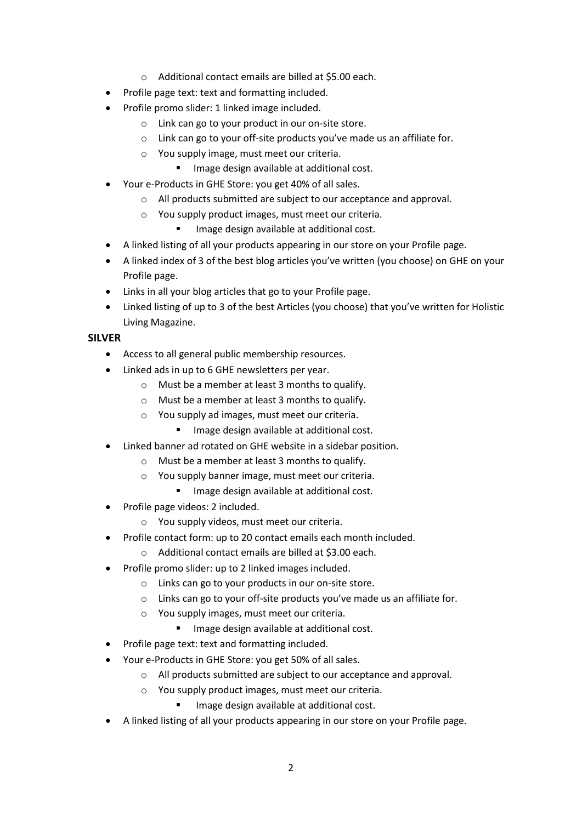- o Additional contact emails are billed at \$5.00 each.
- Profile page text: text and formatting included.
- Profile promo slider: 1 linked image included.
	- o Link can go to your product in our on-site store.
	- o Link can go to your off-site products you've made us an affiliate for.
	- o You supply image, must meet our criteria.
		- **IMAGE DESTAN AVAILABLE 21 IMAGE COST**.
- Your e-Products in GHE Store: you get 40% of all sales.
	- o All products submitted are subject to our acceptance and approval.
	- o You supply product images, must meet our criteria.
		- Image design available at additional cost.
- A linked listing of all your products appearing in our store on your Profile page.
- A linked index of 3 of the best blog articles you've written (you choose) on GHE on your Profile page.
- Links in all your blog articles that go to your Profile page.
- Linked listing of up to 3 of the best Articles (you choose) that you've written for Holistic Living Magazine.

#### **SILVER**

- Access to all general public membership resources.
- Linked ads in up to 6 GHE newsletters per year.
	- o Must be a member at least 3 months to qualify.
	- o Must be a member at least 3 months to qualify.
	- o You supply ad images, must meet our criteria.
		- **Image design available at additional cost.**
- Linked banner ad rotated on GHE website in a sidebar position.
	- o Must be a member at least 3 months to qualify.
	- o You supply banner image, must meet our criteria.
		- **Image design available at additional cost.**
- Profile page videos: 2 included.
	- o You supply videos, must meet our criteria.
- Profile contact form: up to 20 contact emails each month included.
	- o Additional contact emails are billed at \$3.00 each.
- Profile promo slider: up to 2 linked images included.
	- o Links can go to your products in our on-site store.
	- o Links can go to your off-site products you've made us an affiliate for.
	- o You supply images, must meet our criteria.
		- **IMAGE DESIGN AVAILABLE 21 IMAGE COST**.
- Profile page text: text and formatting included.
- Your e-Products in GHE Store: you get 50% of all sales.
	- o All products submitted are subject to our acceptance and approval.
	- o You supply product images, must meet our criteria.
		- Image design available at additional cost.
- A linked listing of all your products appearing in our store on your Profile page.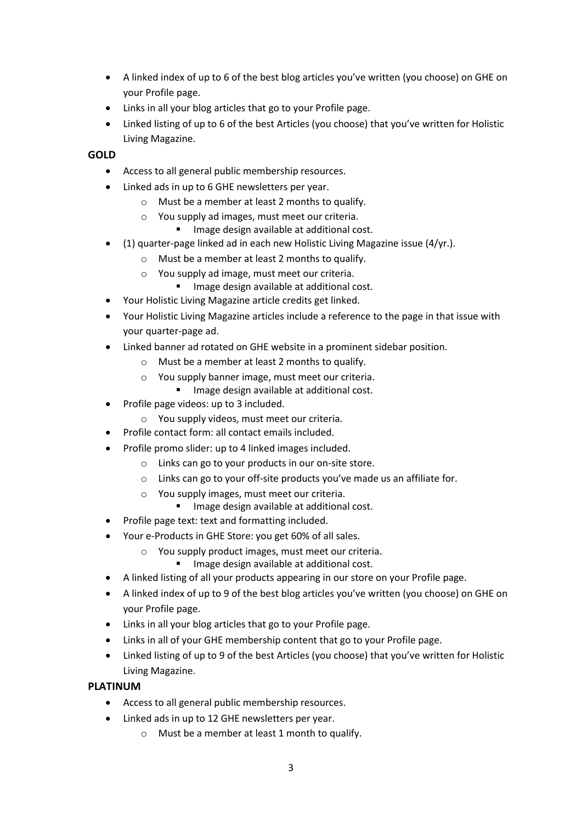- A linked index of up to 6 of the best blog articles you've written (you choose) on GHE on your Profile page.
- Links in all your blog articles that go to your Profile page.
- Linked listing of up to 6 of the best Articles (you choose) that you've written for Holistic Living Magazine.

#### **GOLD**

- Access to all general public membership resources.
- Linked ads in up to 6 GHE newsletters per year.
	- o Must be a member at least 2 months to qualify.
	- o You supply ad images, must meet our criteria.
		- **IMAGE DESTAN AVAILABLE 21 IMAGE COST**.
- (1) quarter-page linked ad in each new Holistic Living Magazine issue (4/yr.).
	- o Must be a member at least 2 months to qualify.
	- o You supply ad image, must meet our criteria.
		- **IMAGE DESTAN AVAILABLE AT ADDET** Image design available at additional cost.
- Your Holistic Living Magazine article credits get linked.
- Your Holistic Living Magazine articles include a reference to the page in that issue with your quarter-page ad.
- Linked banner ad rotated on GHE website in a prominent sidebar position.
	- o Must be a member at least 2 months to qualify.
	- o You supply banner image, must meet our criteria.
		- **Image design available at additional cost.**
- Profile page videos: up to 3 included.
	- o You supply videos, must meet our criteria.
- Profile contact form: all contact emails included.
- Profile promo slider: up to 4 linked images included.
	- o Links can go to your products in our on-site store.
	- o Links can go to your off-site products you've made us an affiliate for.
	- o You supply images, must meet our criteria.
		- **Image design available at additional cost.**
- Profile page text: text and formatting included.
- Your e-Products in GHE Store: you get 60% of all sales.
	- o You supply product images, must meet our criteria.
		- Image design available at additional cost.
- A linked listing of all your products appearing in our store on your Profile page.
- A linked index of up to 9 of the best blog articles you've written (you choose) on GHE on your Profile page.
- Links in all your blog articles that go to your Profile page.
- Links in all of your GHE membership content that go to your Profile page.
- Linked listing of up to 9 of the best Articles (you choose) that you've written for Holistic Living Magazine.

## **PLATINUM**

- Access to all general public membership resources.
- Linked ads in up to 12 GHE newsletters per year.
	- o Must be a member at least 1 month to qualify.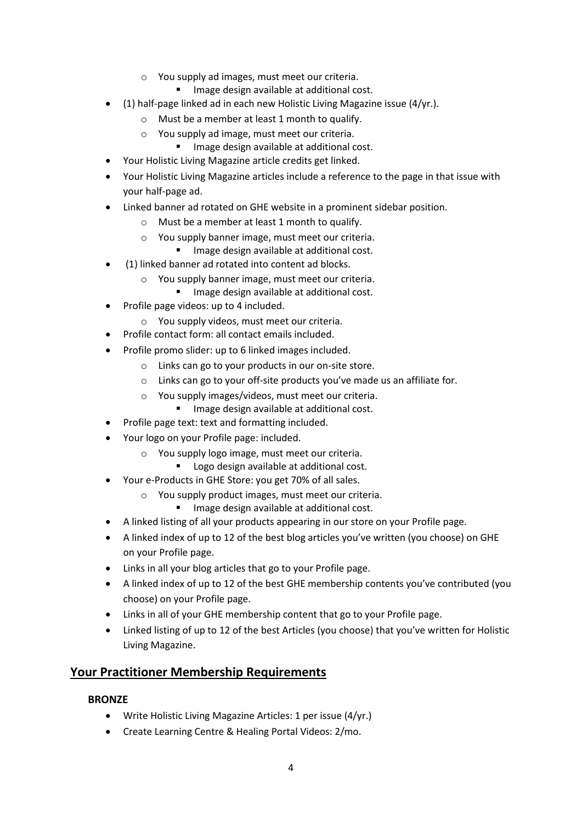- o You supply ad images, must meet our criteria.
	- **IMAGE DEPTED AVAILABLE AT ADDET** IMAGE UST
- (1) half-page linked ad in each new Holistic Living Magazine issue (4/yr.).
	- o Must be a member at least 1 month to qualify.
	- o You supply ad image, must meet our criteria.
		- **IMAGE DESTAN AVAILABLE 21 IMAGE COST**.
- Your Holistic Living Magazine article credits get linked.
- Your Holistic Living Magazine articles include a reference to the page in that issue with your half-page ad.
- Linked banner ad rotated on GHE website in a prominent sidebar position.
	- o Must be a member at least 1 month to qualify.
	- o You supply banner image, must meet our criteria.
		- **Image design available at additional cost.**
- (1) linked banner ad rotated into content ad blocks.
	- o You supply banner image, must meet our criteria.
		- Image design available at additional cost.
- Profile page videos: up to 4 included.
	- o You supply videos, must meet our criteria.
- Profile contact form: all contact emails included.
- Profile promo slider: up to 6 linked images included.
	- o Links can go to your products in our on-site store.
	- o Links can go to your off-site products you've made us an affiliate for.
	- o You supply images/videos, must meet our criteria.
	- **Image design available at additional cost.**
- Profile page text: text and formatting included.
- Your logo on your Profile page: included.
	- o You supply logo image, must meet our criteria.
		- Logo design available at additional cost.
- Your e-Products in GHE Store: you get 70% of all sales.
	- o You supply product images, must meet our criteria.
		- **Image design available at additional cost.**
- A linked listing of all your products appearing in our store on your Profile page.
- A linked index of up to 12 of the best blog articles you've written (you choose) on GHE on your Profile page.
- Links in all your blog articles that go to your Profile page.
- A linked index of up to 12 of the best GHE membership contents you've contributed (you choose) on your Profile page.
- Links in all of your GHE membership content that go to your Profile page.
- Linked listing of up to 12 of the best Articles (you choose) that you've written for Holistic Living Magazine.

# **Your Practitioner Membership Requirements**

#### **BRONZE**

- Write Holistic Living Magazine Articles: 1 per issue (4/yr.)
- Create Learning Centre & Healing Portal Videos: 2/mo.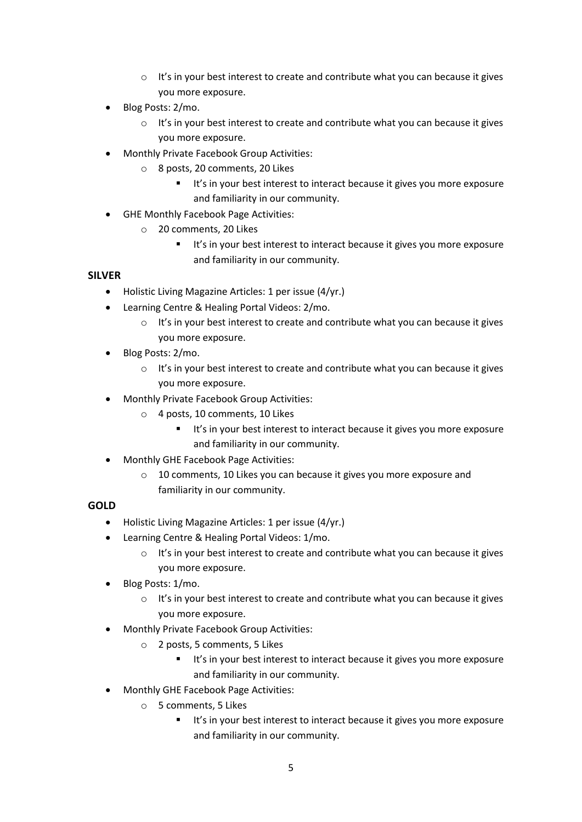- $\circ$  It's in your best interest to create and contribute what you can because it gives you more exposure.
- Blog Posts: 2/mo.
	- o It's in your best interest to create and contribute what you can because it gives you more exposure.
- Monthly Private Facebook Group Activities:
	- o 8 posts, 20 comments, 20 Likes
		- It's in your best interest to interact because it gives you more exposure and familiarity in our community.
- GHE Monthly Facebook Page Activities:
	- o 20 comments, 20 Likes
		- It's in your best interest to interact because it gives you more exposure and familiarity in our community.

#### **SILVER**

- Holistic Living Magazine Articles: 1 per issue (4/yr.)
- Learning Centre & Healing Portal Videos: 2/mo.
	- o It's in your best interest to create and contribute what you can because it gives you more exposure.
- Blog Posts: 2/mo.
	- o It's in your best interest to create and contribute what you can because it gives you more exposure.
- Monthly Private Facebook Group Activities:
	- o 4 posts, 10 comments, 10 Likes
		- **It's in your best interest to interact because it gives you more exposure** and familiarity in our community.
- Monthly GHE Facebook Page Activities:
	- o 10 comments, 10 Likes you can because it gives you more exposure and familiarity in our community.

#### **GOLD**

- Holistic Living Magazine Articles: 1 per issue (4/yr.)
- Learning Centre & Healing Portal Videos: 1/mo.
	- $\circ$  It's in your best interest to create and contribute what you can because it gives you more exposure.
- Blog Posts: 1/mo.
	- o It's in your best interest to create and contribute what you can because it gives you more exposure.
- Monthly Private Facebook Group Activities:
	- o 2 posts, 5 comments, 5 Likes
		- It's in your best interest to interact because it gives you more exposure and familiarity in our community.
- Monthly GHE Facebook Page Activities:
	- o 5 comments, 5 Likes
		- It's in your best interest to interact because it gives you more exposure and familiarity in our community.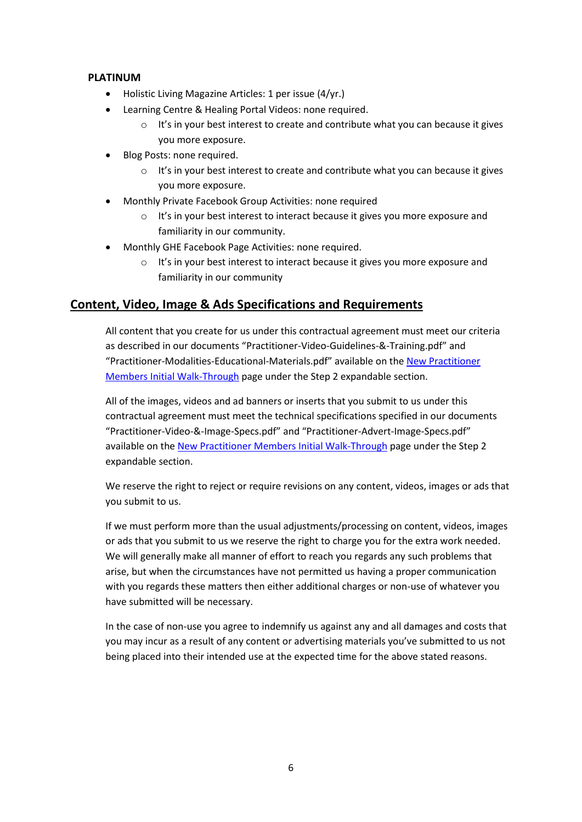#### **PLATINUM**

- Holistic Living Magazine Articles: 1 per issue (4/yr.)
- Learning Centre & Healing Portal Videos: none required.
	- $\circ$  It's in your best interest to create and contribute what you can because it gives you more exposure.
- Blog Posts: none required.
	- o It's in your best interest to create and contribute what you can because it gives you more exposure.
- Monthly Private Facebook Group Activities: none required
	- o It's in your best interest to interact because it gives you more exposure and familiarity in our community.
- Monthly GHE Facebook Page Activities: none required.
	- $\circ$  It's in your best interest to interact because it gives you more exposure and familiarity in our community

# **Content, Video, Image & Ads Specifications and Requirements**

All content that you create for us under this contractual agreement must meet our criteria as described in our documents "Practitioner-Video-Guidelines-&-Training.pdf" and "Practitioner-Modalities-Educational-Materials.pdf" available on the [New Practitioner](https://www.globalhealingexchange.com/practitioner-members-portal/new-practitioner-members-initial-walk-through/) [Members Initial Walk-Through](https://www.globalhealingexchange.com/practitioner-members-portal/new-practitioner-members-initial-walk-through/) page under the Step 2 expandable section.

All of the images, videos and ad banners or inserts that you submit to us under this contractual agreement must meet the technical specifications specified in our documents "Practitioner-Video-&-Image-Specs.pdf" and "Practitioner-Advert-Image-Specs.pdf" available on the New Practitioner [Members Initial Walk-Through](https://www.globalhealingexchange.com/practitioner-members-portal/new-practitioner-members-initial-walk-through/) page under the Step 2 expandable section.

We reserve the right to reject or require revisions on any content, videos, images or ads that you submit to us.

If we must perform more than the usual adjustments/processing on content, videos, images or ads that you submit to us we reserve the right to charge you for the extra work needed. We will generally make all manner of effort to reach you regards any such problems that arise, but when the circumstances have not permitted us having a proper communication with you regards these matters then either additional charges or non-use of whatever you have submitted will be necessary.

In the case of non-use you agree to indemnify us against any and all damages and costs that you may incur as a result of any content or advertising materials you've submitted to us not being placed into their intended use at the expected time for the above stated reasons.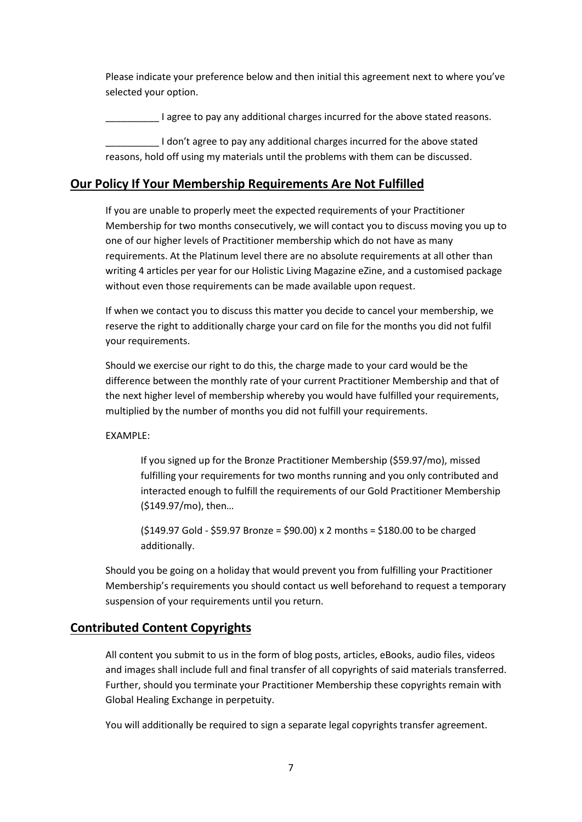Please indicate your preference below and then initial this agreement next to where you've selected your option.

\_\_\_\_\_\_\_\_\_\_ I agree to pay any additional charges incurred for the above stated reasons.

I don't agree to pay any additional charges incurred for the above stated reasons, hold off using my materials until the problems with them can be discussed.

# **Our Policy If Your Membership Requirements Are Not Fulfilled**

If you are unable to properly meet the expected requirements of your Practitioner Membership for two months consecutively, we will contact you to discuss moving you up to one of our higher levels of Practitioner membership which do not have as many requirements. At the Platinum level there are no absolute requirements at all other than writing 4 articles per year for our Holistic Living Magazine eZine, and a customised package without even those requirements can be made available upon request.

If when we contact you to discuss this matter you decide to cancel your membership, we reserve the right to additionally charge your card on file for the months you did not fulfil your requirements.

Should we exercise our right to do this, the charge made to your card would be the difference between the monthly rate of your current Practitioner Membership and that of the next higher level of membership whereby you would have fulfilled your requirements, multiplied by the number of months you did not fulfill your requirements.

EXAMPLE:

If you signed up for the Bronze Practitioner Membership (\$59.97/mo), missed fulfilling your requirements for two months running and you only contributed and interacted enough to fulfill the requirements of our Gold Practitioner Membership (\$149.97/mo), then…

(\$149.97 Gold - \$59.97 Bronze = \$90.00) x 2 months = \$180.00 to be charged additionally.

Should you be going on a holiday that would prevent you from fulfilling your Practitioner Membership's requirements you should contact us well beforehand to request a temporary suspension of your requirements until you return.

# **Contributed Content Copyrights**

All content you submit to us in the form of blog posts, articles, eBooks, audio files, videos and images shall include full and final transfer of all copyrights of said materials transferred. Further, should you terminate your Practitioner Membership these copyrights remain with Global Healing Exchange in perpetuity.

You will additionally be required to sign a separate legal copyrights transfer agreement.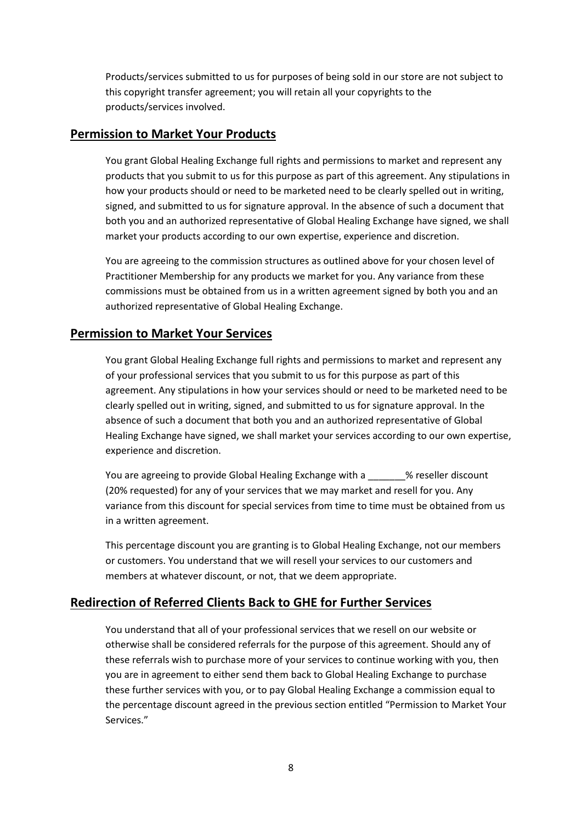Products/services submitted to us for purposes of being sold in our store are not subject to this copyright transfer agreement; you will retain all your copyrights to the products/services involved.

## **Permission to Market Your Products**

You grant Global Healing Exchange full rights and permissions to market and represent any products that you submit to us for this purpose as part of this agreement. Any stipulations in how your products should or need to be marketed need to be clearly spelled out in writing, signed, and submitted to us for signature approval. In the absence of such a document that both you and an authorized representative of Global Healing Exchange have signed, we shall market your products according to our own expertise, experience and discretion.

You are agreeing to the commission structures as outlined above for your chosen level of Practitioner Membership for any products we market for you. Any variance from these commissions must be obtained from us in a written agreement signed by both you and an authorized representative of Global Healing Exchange.

## **Permission to Market Your Services**

You grant Global Healing Exchange full rights and permissions to market and represent any of your professional services that you submit to us for this purpose as part of this agreement. Any stipulations in how your services should or need to be marketed need to be clearly spelled out in writing, signed, and submitted to us for signature approval. In the absence of such a document that both you and an authorized representative of Global Healing Exchange have signed, we shall market your services according to our own expertise, experience and discretion.

You are agreeing to provide Global Healing Exchange with a  $\sim$  % reseller discount (20% requested) for any of your services that we may market and resell for you. Any variance from this discount for special services from time to time must be obtained from us in a written agreement.

This percentage discount you are granting is to Global Healing Exchange, not our members or customers. You understand that we will resell your services to our customers and members at whatever discount, or not, that we deem appropriate.

# **Redirection of Referred Clients Back to GHE for Further Services**

You understand that all of your professional services that we resell on our website or otherwise shall be considered referrals for the purpose of this agreement. Should any of these referrals wish to purchase more of your services to continue working with you, then you are in agreement to either send them back to Global Healing Exchange to purchase these further services with you, or to pay Global Healing Exchange a commission equal to the percentage discount agreed in the previous section entitled "Permission to Market Your Services."